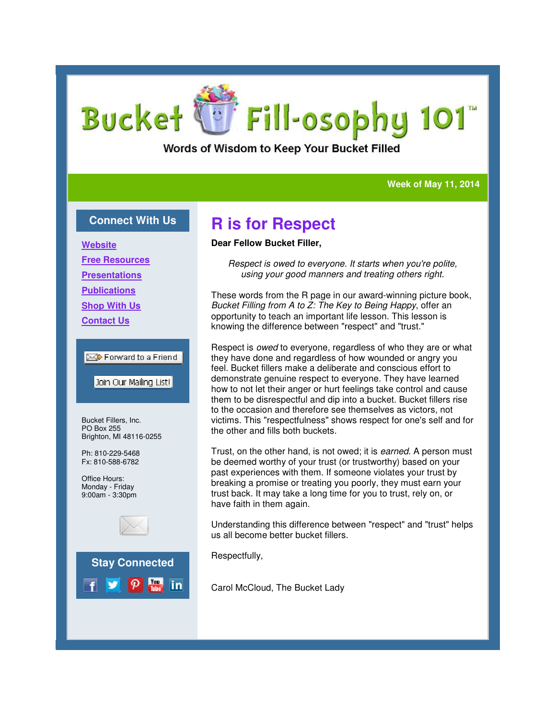# **Bucket** Fill-osophy 101

Words of Wisdom to Keep Your Bucket Filled

#### **Week of May 11, 2014 Week 11, 2014**

#### **Connect With Us**

**Website**

**Free Resources**

**Presentations**

**Publications**

**Shop With Us**

**Contact Us**

#### **EX** Forward to a Friend

Join Our Mailing List!

Bucket Fillers, Inc. PO Box 255 Brighton, MI 48116-0255

Ph: 810-229-5468 Fx: 810-588-6782

Office Hours: Monday - Friday 9:00am - 3:30pm





## **R is for Respect**

#### **Dear Fellow Bucket Filler,**

*Respect is owed to everyone. It starts when you're polite, using your good manners and treating others right. Respect is owed starts when treating others* 

These words from the R page in our award-winning picture book, These words from the R page in our award-winning picture b<br>*Bucket Filling from A to Z: The Key to Being Happy*, offer an opportunity to teach an important life lesson. This lesson is opportunity to teach an important life lesson. This les:<br>knowing the difference between "respect" and "trust."

Respect is *owed* to everyone, regardless of who they are or what they have done and regardless of how wounded or angry you feel. Bucket fillers make a deliberate and conscious effort to demonstrate genuine respect to everyone. They have learned how to not let their anger or hurt feelings take control and cause<br>them to be disrespectful and dip into a bucket. Bucket fillers rise<br>to the occasion and therefore see themselves as victors, not them to be disrespectful and dip into a bucket. Bucket fillers rise to the occasion and therefore see themselves as victors, not victims. This "respectfulness" shows respect for one's self and for the other and fills both buckets.

Trust, on the other hand, is not owed; it is *earned*. A person must be deemed worthy of your trust (or trustworthy) based on your past experiences with them. If someone violates your trust by breaking a promise or treating you poorly, they must earn your trust back. It may take a long time for you to trust, rely on, or have faith in them again. ie other hand, is not owed; it is *earned*. A person r<br>worthy of your trust (or trustworthy) based on you<br>ences with them. If someone violates your trust by<br>promise or treating you poorly, they must earn you<br>It may take a

Understanding this difference between "respect" and "trust" helps us all become better bucket fillers.

Respectfully,

Carol McCloud, The Bucket Lady